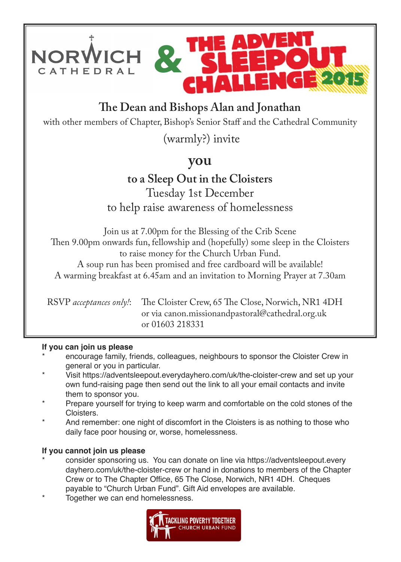

## **!e Dean and Bishops Alan and Jonathan**

with other members of Chapter, Bishop's Senior Staff and the Cathedral Community

(warmly?) invite

## **you**

## **to a Sleep Out in the Cloisters** Tuesday 1st December to help raise awareness of homelessness

Join us at 7.00pm for the Blessing of the Crib Scene Then 9.00pm onwards fun, fellowship and (hopefully) some sleep in the Cloisters to raise money for the Church Urban Fund.

A soup run has been promised and free cardboard will be available! A warming breakfast at 6.45am and an invitation to Morning Prayer at 7.30am

RSVP *acceptances only!*: The Cloister Crew, 65 The Close, Norwich, NR1 4DH or via canon.missionandpastoral@cathedral.org.uk or 01603 218331

#### **If you can join us please**

- encourage family, friends, colleagues, neighbours to sponsor the Cloister Crew in general or you in particular.
- Visit https://adventsleepout.everydayhero.com/uk/the-cloister-crew and set up your own fund-raising page then send out the link to all your email contacts and invite them to sponsor you.
- Prepare yourself for trying to keep warm and comfortable on the cold stones of the Cloisters.
- And remember: one night of discomfort in the Cloisters is as nothing to those who daily face poor housing or, worse, homelessness.

### **If you cannot join us please**

- consider sponsoring us. You can donate on line via https://adventsleepout.every dayhero.com/uk/the-cloister-crew or hand in donations to members of the Chapter Crew or to The Chapter Office, 65 The Close, Norwich, NR1 4DH. Cheques payable to "Church Urban Fund". Gift Aid envelopes are available.
- Together we can end homelessness.